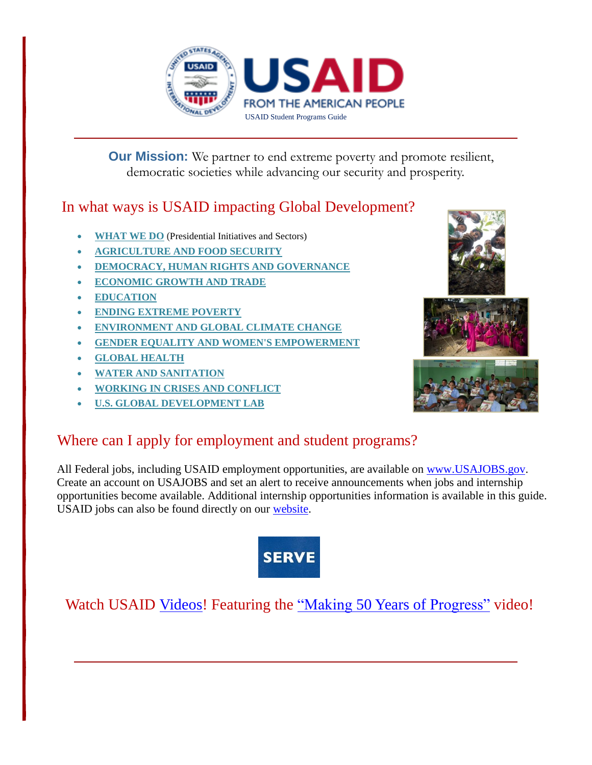

 **Our Mission:** We partner to end extreme poverty and promote resilient, democratic societies while advancing our security and prosperity.

## In what ways is USAID impacting Global Development?

- **[WHAT](https://www.usaid.gov/what-we-do) WE DO** (Presidential Initiatives and Sectors)
- **[AGRICULTURE](https://www.usaid.gov/what-we-do/agriculture-and-food-security) AND FOOD SECURITY**
- **DEMOCRACY, HUMAN RIGHTS AND [GOVERNANCE](https://www.usaid.gov/what-we-do/democracy-human-rights-and-governance)**
- **[ECONOMIC](https://www.usaid.gov/what-we-do/economic-growth-and-trade) GROWTH AND TRADE**
- **[EDUCATION](https://www.usaid.gov/education)**
- **ENDING [EXTREME](https://www.usaid.gov/ending-extreme-poverty) POVERTY**
- **[ENVIRONMENT](https://www.usaid.gov/what-we-do/environment-and-global-climate-change) AND GLOBAL CLIMATE CHANGE**
- **GENDER EQUALITY AND WOMEN'S [EMPOWERMENT](https://www.usaid.gov/what-we-do/gender-equality-and-womens-empowerment)**
- **GLOBAL [HEALTH](https://www.usaid.gov/what-we-do/global-health)**
- **WATER AND [SANITATION](https://www.usaid.gov/what-we-do/water-and-sanitation)**
- **WORKING IN CRISES AND [CONFLICT](https://www.usaid.gov/what-we-do/working-crises-and-conflict)**
- **U.S. GLOBAL [DEVELOPMENT](https://www.usaid.gov/GlobalDevLab/about) LAB**

# Where can I apply for employment and student programs?

All Federal jobs, including USAID employment opportunities, are available on [www.USAJOBS.gov.](http://www.usajobs.gov/) Create an account on USAJOBS and set an alert to receive announcements when jobs and internship opportunities become available. Additional internship opportunities information is available in this guide. USAID jobs can also be found directly on our [website.](https://www.usaid.gov/work-with-us/careers/vacancy-announcements)



# Watch USAID [Videos!](https://www.usaid.gov/news-information/videos/why-i-work-usaid) Featuring the "Making 50 Years of [Progress"](file://///ausnapevsmia01/hr.elr$/kcastillo/Employment%20Resources/iframe%20width=%22560%22%20height=%22315%22%20src=%22https:/www.youtube.com/embed/zRgzpnFE_R4%22%20frameborder=%220%22%20allowfullscreen%3e%3c/iframe) video!



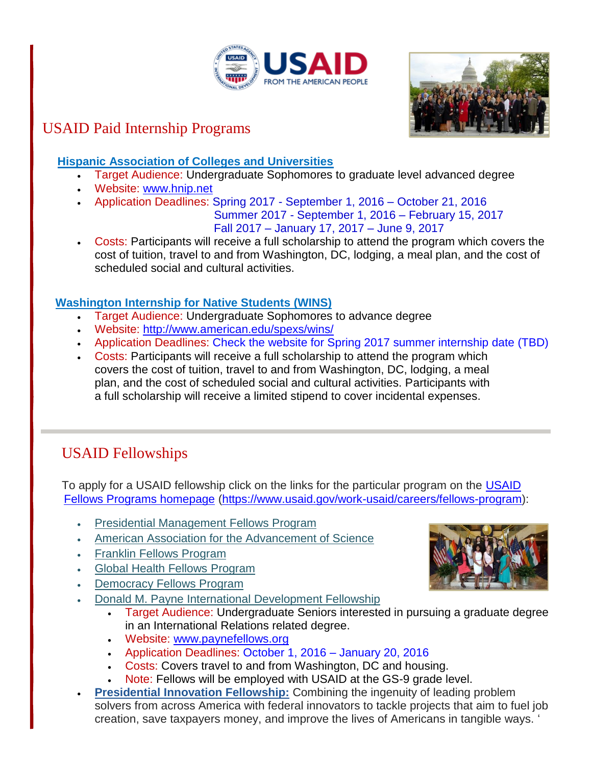



# USAID Paid Internship Programs

### **Hispanic Association of Colleges and Universities**

- Target Audience: Undergraduate Sophomores to graduate level advanced degree
- Website: [www.hnip.net](http://www.hnip.net/)
- Application Deadlines: Spring 2017 September 1, 2016 October 21, 2016

 Summer 2017 - September 1, 2016 – February 15, 2017 Fall 2017 – January 17, 2017 – June 9, 2017

 Costs: Participants will receive a full scholarship to attend the program which covers the cost of tuition, travel to and from Washington, DC, lodging, a meal plan, and the cost of scheduled social and cultural activities.

### **Washington Internship for Native Students (WINS)**

- Target Audience: Undergraduate Sophomores to advance degree
- Website: <http://www.american.edu/spexs/wins/>
- Application Deadlines: Check the website for Spring 2017 summer internship date (TBD)
- Costs: Participants will receive a full scholarship to attend the program which covers the cost of tuition, travel to and from Washington, DC, lodging, a meal plan, and the cost of scheduled social and cultural activities. Participants with a full scholarship will receive a limited stipend to cover incidental expenses.

# USAID Fellowships

To apply for a [USAID](file://///ausnapevsmia01/hr.elr$/kcastillo/USAID%20Fellows%20Programs%20homepage) fellowship click on the links for the particular program on the USAID [Fellows Programs homepage](file://///ausnapevsmia01/hr.elr$/kcastillo/USAID%20Fellows%20Programs%20homepage) [\(https://www.usaid.gov/work-usaid/careers/fellows-program\)](https://www.usaid.gov/work-usaid/careers/fellows-program):

- Presidential [Management](https://www.usaid.gov/work-usaid/careers/fellows-program/presidential-management-fellows-program) Fellows Program
- American Association for the [Advancement](http://fellowships.aaas.org/) of Science
- Franklin Fellows [Program](http://www.careers.state.gov/ff)
- Global Health Fellows [Program](http://www.ghfp.net/)
- [Democracy](http://www.iie.org/Programs/USAID-Democracy-Fellows-and-Grants-Program) Fellows Program
- Donald M. Payne International [Development](http://www.paynefellows.org/?areaid=2&contentid=941&CFID=176&CFTOKEN=61AD4373-F629-4221-9EC195AB5B9C9759) Fellowship
	- Target Audience: Undergraduate Seniors interested in pursuing a graduate degree in an International Relations related degree.
	- Website: [www.paynefellows.org](http://www.paynefellows.org/)
	- Application Deadlines: October 1, 2016 January 20, 2016
	- Costs: Covers travel to and from Washington, DC and housing.
	- Note: Fellows will be employed with USAID at the GS-9 grade level.
- **[Presidential](http://www.whitehouse.gov/the-press-office/2012/08/23/white-house-launches-presidential-innovation-fellows-program) Innovation Fellowship:** Combining the ingenuity of leading problem solvers from across America with federal innovators to tackle projects that aim to fuel job creation, save taxpayers money, and improve the lives of Americans in tangible ways. '

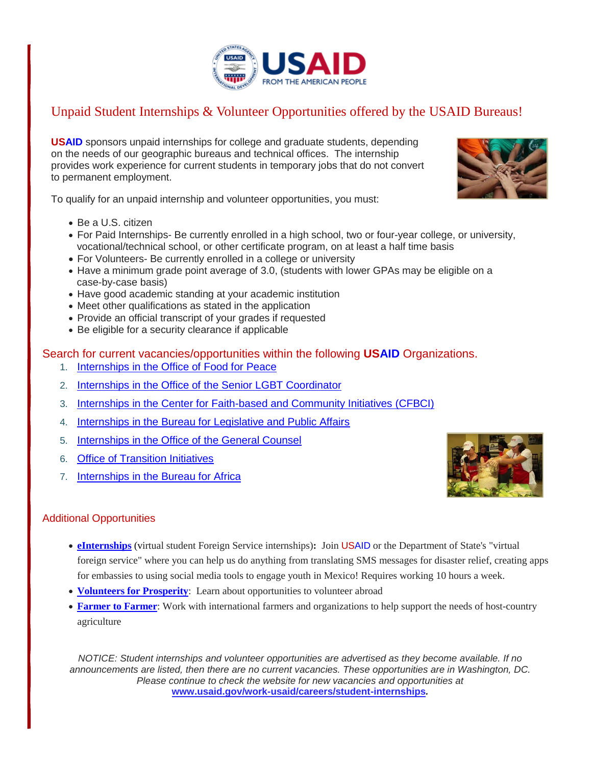

### Unpaid Student Internships & Volunteer Opportunities offered by the USAID Bureaus!

**USAID** sponsors unpaid internships for college and graduate students, depending on the needs of our geographic bureaus and technical offices. The internship provides work experience for current students in temporary jobs that do not convert to permanent employment.

To qualify for an unpaid internship and volunteer opportunities, you must:

- Be a U.S. citizen
- For Paid Internships- Be currently enrolled in a high school, two or four-year college, or university, vocational/technical school, or other certificate program, on at least a half time basis
- For Volunteers- Be currently enrolled in a college or university
- Have a minimum grade point average of 3.0, (students with lower GPAs may be eligible on a case-by-case basis)
- Have good academic standing at your academic institution
- Meet other qualifications as stated in the application
- Provide an official transcript of your grades if requested
- Be eligible for a security clearance if applicable

#### Search for current vacancies/opportunities within the following **USAID** Organizations.

- 1. [Internships in the Office of Food for Peace](https://www.usaid.gov/food-assistance/usaidffp-intern-vacancy-announcement)
- 2. [Internships in the Office of the Senior LGBT Coordinator](https://www.usaid.gov/work-usaid/careers/student-internships/LGBT-office-intern)
- 3. [Internships in the Center for Faith-based and Community Initiatives \(CFBCI\)](https://www.usaid.gov/work-usaid/careers/student-internships/center-faith-based-and-community-initiatives-intern)
- 4. [Internships in the Bureau for Legislative and Public Affairs](https://www.usaid.gov/work-usaid/careers/student-internships/legislative-and-public-affairs)
- 5. [Internships in the Office of the General Counsel](https://www.usaid.gov/work-usaid/careers/student-internships/general-counsel)
- 6. [Office of Transition Initiatives](https://www.usaid.gov/work-usaid/careers/hiring-mechanisms/student-internships/usaidoti-intern-vacancy-announcement)
- 7. [Internships in the Bureau for Africa](https://www.usaid.gov/work-usaid/careers/hiring-mechanisms/student-internships/internships-usaid-africa-bureau)



- **[eInternships](http://www.state.gov/vsfs/)** (virtual student Foreign Service internships): Join USAID or the Department of State's "virtual foreign service" where you can help us do anything from translating SMS messages for disaster relief, creating apps for embassies to using social media tools to engage youth in Mexico! Requires working 10 hours a week.
- **[Volunteers](http://www.volunteersforprosperity.gov/) for Prosperity**: Learn about opportunities to volunteer abroad
- **[Farmer](https://www.usaid.gov/what-we-do/agriculture-and-food-security/supporting-agricultural-capacity-development/john-ogonowski) to Farmer**: Work with international farmers and organizations to help support the needs of host-country agriculture

*NOTICE: Student internships and volunteer opportunities are advertised as they become available. If no announcements are listed, then there are no current vacancies. These opportunities are in Washington, DC. Please continue to check the website for new vacancies and opportunities at* **[www.usaid.gov/work-usaid/careers/student-internships](http://www.usaid.gov/work-usaid/careers/student-internships)***.*